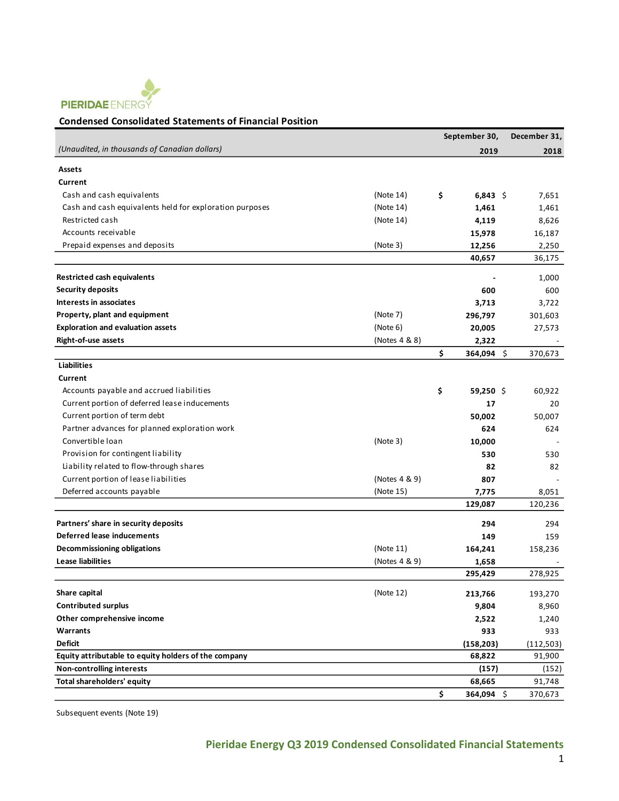

## **Condensed Consolidated Statements of Financial Position**

|                                                         |               | September 30,    | December 31, |
|---------------------------------------------------------|---------------|------------------|--------------|
| (Unaudited, in thousands of Canadian dollars)           |               | 2019             | 2018         |
| Assets                                                  |               |                  |              |
| Current                                                 |               |                  |              |
| Cash and cash equivalents                               | (Note 14)     | \$<br>6,843 \$   | 7,651        |
| Cash and cash equivalents held for exploration purposes | (Note 14)     | 1,461            | 1,461        |
| Restricted cash                                         | (Note 14)     | 4,119            | 8,626        |
| Accounts receivable                                     |               | 15,978           | 16,187       |
| Prepaid expenses and deposits                           | (Note 3)      | 12,256           | 2,250        |
|                                                         |               | 40,657           | 36,175       |
| <b>Restricted cash equivalents</b>                      |               |                  | 1,000        |
| <b>Security deposits</b>                                |               | 600              | 600          |
| Interests in associates                                 |               | 3,713            | 3,722        |
| Property, plant and equipment                           | (Note 7)      | 296,797          | 301,603      |
| <b>Exploration and evaluation assets</b>                | (Note 6)      | 20,005           | 27,573       |
| Right-of-use assets                                     | (Notes 4 & 8) | 2,322            |              |
|                                                         |               | \$<br>364,094 \$ | 370,673      |
| <b>Liabilities</b>                                      |               |                  |              |
| Current                                                 |               |                  |              |
| Accounts payable and accrued liabilities                |               | \$<br>59.250 \$  | 60,922       |
| Current portion of deferred lease inducements           |               | 17               | 20           |
| Current portion of term debt                            |               | 50,002           | 50,007       |
| Partner advances for planned exploration work           |               | 624              | 624          |
| Convertible loan                                        | (Note 3)      | 10,000           |              |
| Provision for contingent liability                      |               | 530              | 530          |
| Liability related to flow-through shares                |               | 82               | 82           |
| Current portion of lease liabilities                    | (Notes 4 & 9) | 807              |              |
| Deferred accounts payable                               | (Note 15)     | 7,775            | 8,051        |
|                                                         |               | 129,087          | 120,236      |
| Partners' share in security deposits                    |               | 294              | 294          |
| Deferred lease inducements                              |               | 149              | 159          |
| Decommissioning obligations                             | (Note 11)     | 164,241          | 158,236      |
| <b>Lease liabilities</b>                                | (Notes 4 & 9) | 1,658            |              |
|                                                         |               | 295,429          | 278,925      |
| Share capital                                           | (Note 12)     | 213,766          | 193,270      |
| <b>Contributed surplus</b>                              |               | 9,804            | 8,960        |
| Other comprehensive income                              |               | 2,522            | 1,240        |
| Warrants                                                |               | 933              | 933          |
| <b>Deficit</b>                                          |               | (158, 203)       | (112,503)    |
| Equity attributable to equity holders of the company    |               | 68,822           | 91,900       |
| <b>Non-controlling interests</b>                        |               | (157)            | (152)        |
| Total shareholders' equity                              |               | 68,665           | 91,748       |
|                                                         |               | \$<br>364,094 \$ | 370,673      |

Subsequent events (Note 19)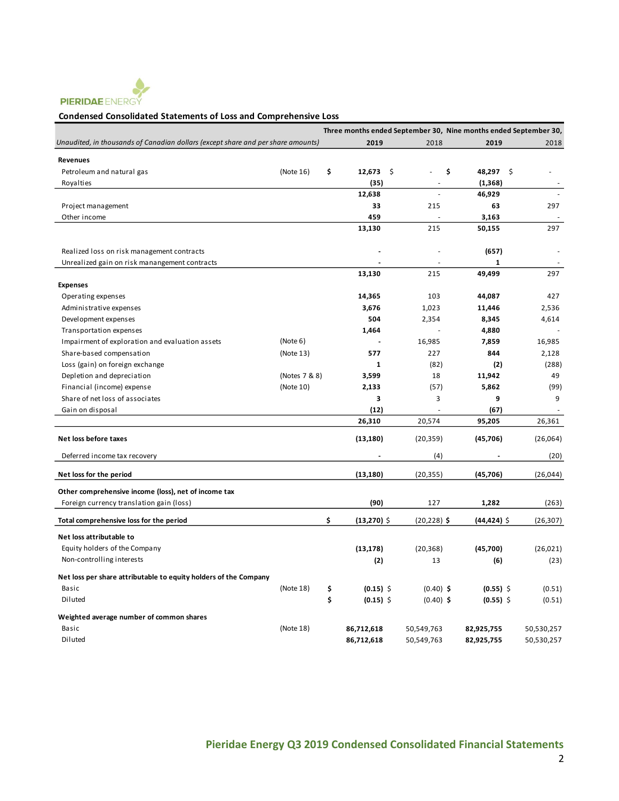

#### **Condensed Consolidated Statements of Loss and Comprehensive Loss**

|                                                                                  |               |                     |                | Three months ended September 30, Nine months ended September 30, |            |
|----------------------------------------------------------------------------------|---------------|---------------------|----------------|------------------------------------------------------------------|------------|
| Unaudited, in thousands of Canadian dollars (except share and per share amounts) |               | 2019                | 2018           | 2019                                                             | 2018       |
| <b>Revenues</b>                                                                  |               |                     |                |                                                                  |            |
| Petroleum and natural gas                                                        | (Note 16)     | \$<br>12,673        | \$.            | \$<br>48,297 \$                                                  |            |
| Royalties                                                                        |               | (35)                |                | (1, 368)                                                         |            |
|                                                                                  |               | 12,638              | L.             | 46,929                                                           |            |
| Project management                                                               |               | 33                  | 215            | 63                                                               | 297        |
| Other income                                                                     |               | 459                 |                | 3,163                                                            |            |
|                                                                                  |               | 13,130              | 215            | 50,155                                                           | 297        |
|                                                                                  |               |                     |                |                                                                  |            |
| Realized loss on risk management contracts                                       |               |                     |                | (657)                                                            |            |
| Unrealized gain on risk manangement contracts                                    |               |                     |                | 1                                                                |            |
|                                                                                  |               | 13,130              | 215            | 49.499                                                           | 297        |
| <b>Expenses</b>                                                                  |               |                     |                |                                                                  |            |
| Operating expenses                                                               |               | 14,365              | 103            | 44,087                                                           | 427        |
| Administrative expenses                                                          |               | 3,676               | 1,023          | 11,446                                                           | 2,536      |
| Development expenses                                                             |               | 504                 | 2,354          | 8,345                                                            | 4,614      |
| Transportation expenses                                                          |               | 1,464               |                | 4,880                                                            |            |
| Impairment of exploration and evaluation assets                                  | (Note 6)      |                     | 16,985         | 7,859                                                            | 16,985     |
| Share-based compensation                                                         | (Note 13)     | 577                 | 227            | 844                                                              | 2,128      |
| Loss (gain) on foreign exchange                                                  |               | $\mathbf{1}$        | (82)           | (2)                                                              | (288)      |
| Depletion and depreciation                                                       | (Notes 7 & 8) | 3,599               | 18             | 11,942                                                           | 49         |
| Financial (income) expense                                                       | (Note 10)     | 2,133               | (57)           | 5,862                                                            | (99)       |
| Share of net loss of associates                                                  |               | 3                   | 3              | 9                                                                | 9          |
| Gain on disposal                                                                 |               | (12)                |                | (67)                                                             |            |
|                                                                                  |               | 26,310              | 20,574         | 95,205                                                           | 26,361     |
| Net loss before taxes                                                            |               | (13, 180)           | (20, 359)      | (45, 706)                                                        | (26,064)   |
| Deferred income tax recovery                                                     |               |                     | (4)            |                                                                  | (20)       |
| Net loss for the period                                                          |               | (13, 180)           | (20, 355)      | (45,706)                                                         | (26, 044)  |
| Other comprehensive income (loss), net of income tax                             |               |                     |                |                                                                  |            |
| Foreign currency translation gain (loss)                                         |               | (90)                | 127            | 1,282                                                            | (263)      |
| Total comprehensive loss for the period                                          |               | \$<br>$(13,270)$ \$ | $(20, 228)$ \$ | (44,424) \$                                                      | (26, 307)  |
| Net loss attributable to                                                         |               |                     |                |                                                                  |            |
| Equity holders of the Company                                                    |               | (13, 178)           | (20, 368)      | (45,700)                                                         | (26, 021)  |
| Non-controlling interests                                                        |               | (2)                 | 13             | (6)                                                              | (23)       |
|                                                                                  |               |                     |                |                                                                  |            |
| Net loss per share attributable to equity holders of the Company                 |               |                     |                |                                                                  |            |
| Basic                                                                            | (Note 18)     | \$<br>$(0.15)$ \$   | $(0.40)$ \$    | $(0.55)$ \$                                                      | (0.51)     |
| Diluted                                                                          |               | \$<br>$(0.15)$ \$   | $(0.40)$ \$    | $(0.55)$ \$                                                      | (0.51)     |
| Weighted average number of common shares                                         |               |                     |                |                                                                  |            |
| Basic                                                                            | (Note 18)     | 86,712,618          | 50,549,763     | 82,925,755                                                       | 50,530,257 |
| Diluted                                                                          |               | 86,712,618          | 50,549,763     | 82,925,755                                                       | 50,530,257 |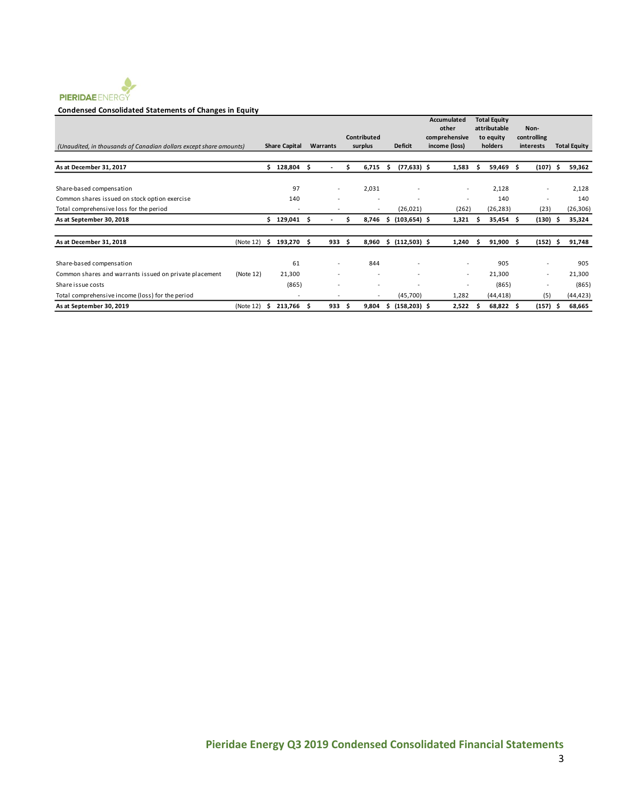

#### **Condensed Consolidated Statements of Changes in Equity**

| (Unaudited, in thousands of Canadian dollars except share amounts) |           |     | <b>Share Capital</b>     |    | Warrants                 |   | Contributed<br>surplus   |     | <b>Deficit</b>  | Accumulated<br>other<br>comprehensive<br>income (loss) |                          | <b>Total Equity</b><br>attributable<br>to equity<br>holders |           | Non-<br>controlling<br>interests |                          | <b>Total Equity</b> |
|--------------------------------------------------------------------|-----------|-----|--------------------------|----|--------------------------|---|--------------------------|-----|-----------------|--------------------------------------------------------|--------------------------|-------------------------------------------------------------|-----------|----------------------------------|--------------------------|---------------------|
| As at December 31, 2017                                            |           | \$. | 128,804                  | \$ |                          | S | 6,715                    | Ŝ   | $(77, 633)$ \$  | 1,583                                                  |                          | s                                                           | 59,469    | Ŝ.<br>(107)                      |                          | 59,362              |
| Share-based compensation                                           |           |     | 97                       |    | $\overline{\phantom{a}}$ |   | 2,031                    |     |                 |                                                        | $\overline{\phantom{a}}$ |                                                             | 2,128     |                                  | $\overline{\phantom{a}}$ | 2,128               |
| Common shares issued on stock option exercise                      |           |     | 140                      |    |                          |   |                          |     |                 |                                                        | $\overline{\phantom{a}}$ |                                                             | 140       |                                  |                          | 140                 |
| Total comprehensive loss for the period                            |           |     |                          |    |                          |   | $\overline{\phantom{a}}$ |     | (26, 021)       | (262)                                                  |                          |                                                             | (26, 283) | (23)                             |                          | (26, 306)           |
| As at September 30, 2018                                           |           | Ś.  | 129,041                  | .s |                          | S | 8,746                    | s   | $(103, 654)$ \$ | 1,321                                                  |                          | S                                                           | 35,454 \$ | (130)                            |                          | 35,324              |
| As at December 31, 2018                                            | (Note 12) | s   | 193,270                  | S  | 933                      | S | 8,960                    | \$  | $(112,503)$ \$  | 1,240                                                  |                          | s.                                                          | 91,900    | (152)<br>Ŝ.                      |                          | 91,748              |
| Share-based compensation                                           |           |     | 61                       |    | $\overline{\phantom{a}}$ |   | 844                      |     |                 |                                                        | $\sim$                   |                                                             | 905       |                                  | ٠                        | 905                 |
| Common shares and warrants issued on private placement             | (Note 12) |     | 21,300                   |    |                          |   | ٠                        |     |                 |                                                        | $\overline{\phantom{a}}$ |                                                             | 21,300    |                                  | $\overline{\phantom{a}}$ | 21,300              |
| Share issue costs                                                  |           |     | (865)                    |    |                          |   | ٠                        |     |                 |                                                        |                          |                                                             | (865)     |                                  |                          | (865)               |
| Total comprehensive income (loss) for the period                   |           |     | $\overline{\phantom{a}}$ |    |                          |   | $\overline{\phantom{a}}$ |     | (45,700)        | 1,282                                                  |                          |                                                             | (44, 418) |                                  | (5)                      | (44, 423)           |
| As at September 30, 2019                                           | (Note 12) | s   | 213,766                  | .s | 933                      | s | 9,804                    | \$. | $(158, 203)$ \$ | 2,522                                                  |                          | s                                                           | 68,822 \$ | (157)                            |                          | 68,665              |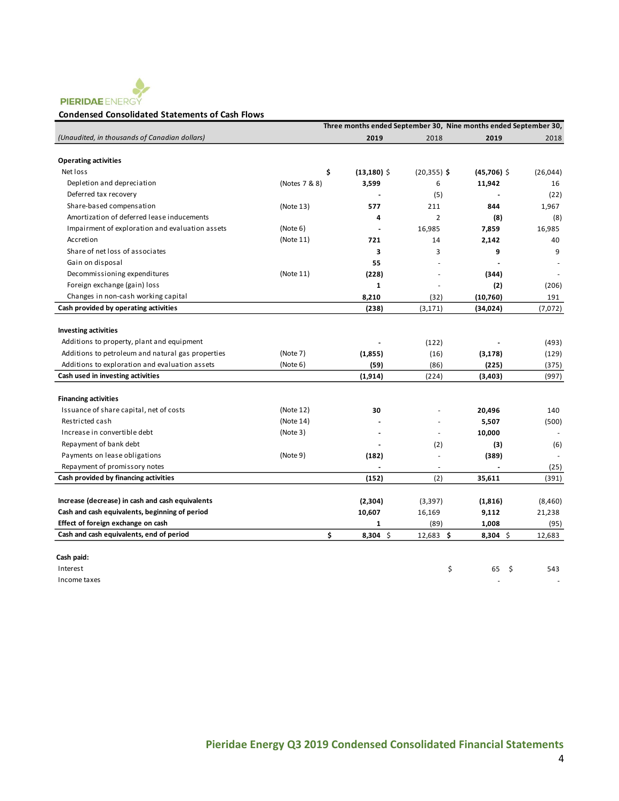

#### **Condensed Consolidated Statements of Cash Flows**

|                                                   |               |                      |                          | Three months ended September 30, Nine months ended September 30, |           |
|---------------------------------------------------|---------------|----------------------|--------------------------|------------------------------------------------------------------|-----------|
| (Unaudited, in thousands of Canadian dollars)     |               | 2019                 | 2018                     | 2019                                                             | 2018      |
|                                                   |               |                      |                          |                                                                  |           |
| <b>Operating activities</b>                       |               |                      |                          |                                                                  |           |
| Net loss                                          |               | \$<br>$(13, 180)$ \$ | $(20, 355)$ \$           | $(45,706)$ \$                                                    | (26, 044) |
| Depletion and depreciation                        | (Notes 7 & 8) | 3,599                | 6                        | 11,942                                                           | 16        |
| Deferred tax recovery                             |               |                      | (5)                      |                                                                  | (22)      |
| Share-based compensation                          | (Note 13)     | 577                  | 211                      | 844                                                              | 1,967     |
| Amortization of deferred lease inducements        |               | 4                    | $\overline{2}$           | (8)                                                              | (8)       |
| Impairment of exploration and evaluation assets   | (Note 6)      |                      | 16,985                   | 7,859                                                            | 16,985    |
| Accretion                                         | (Note 11)     | 721                  | 14                       | 2,142                                                            | 40        |
| Share of net loss of associates                   |               | 3                    | 3                        | 9                                                                | 9         |
| Gain on disposal                                  |               | 55                   |                          |                                                                  |           |
| Decommissioning expenditures                      | (Note 11)     | (228)                |                          | (344)                                                            |           |
| Foreign exchange (gain) loss                      |               | $\mathbf{1}$         |                          | (2)                                                              | (206)     |
| Changes in non-cash working capital               |               | 8,210                | (32)                     | (10,760)                                                         | 191       |
| Cash provided by operating activities             |               | (238)                | (3, 171)                 | (34, 024)                                                        | (7,072)   |
|                                                   |               |                      |                          |                                                                  |           |
| <b>Investing activities</b>                       |               |                      |                          |                                                                  |           |
| Additions to property, plant and equipment        |               |                      | (122)                    |                                                                  | (493)     |
| Additions to petroleum and natural gas properties | (Note 7)      | (1,855)              | (16)                     | (3, 178)                                                         | (129)     |
| Additions to exploration and evaluation assets    | (Note 6)      | (59)                 | (86)                     | (225)                                                            | (375)     |
| Cash used in investing activities                 |               | (1,914)              | (224)                    | (3, 403)                                                         | (997)     |
|                                                   |               |                      |                          |                                                                  |           |
| <b>Financing activities</b>                       |               |                      |                          |                                                                  |           |
| Issuance of share capital, net of costs           | (Note 12)     | 30                   |                          | 20,496                                                           | 140       |
| Restricted cash                                   | (Note 14)     |                      |                          | 5,507                                                            | (500)     |
| Increase in convertible debt                      | (Note 3)      |                      | ٠                        | 10,000                                                           |           |
| Repayment of bank debt                            |               |                      | (2)                      | (3)                                                              | (6)       |
| Payments on lease obligations                     | (Note 9)      | (182)                | $\overline{\phantom{a}}$ | (389)                                                            |           |
| Repayment of promissory notes                     |               |                      |                          |                                                                  | (25)      |
| Cash provided by financing activities             |               | (152)                | (2)                      | 35,611                                                           | (391)     |
|                                                   |               |                      |                          |                                                                  |           |
| Increase (decrease) in cash and cash equivalents  |               | (2,304)              | (3, 397)                 | (1, 816)                                                         | (8,460)   |
| Cash and cash equivalents, beginning of period    |               | 10,607               | 16,169                   | 9,112                                                            | 21,238    |
| Effect of foreign exchange on cash                |               | 1                    | (89)                     | 1,008                                                            | (95)      |
| Cash and cash equivalents, end of period          |               | \$<br>$8,304$ \$     | $12,683$ \$              | $8,304$ \$                                                       | 12,683    |
|                                                   |               |                      |                          |                                                                  |           |
| Cash paid:                                        |               |                      |                          |                                                                  |           |
| Interest                                          |               |                      | \$                       | 65<br>- \$                                                       | 543       |
| Income taxes                                      |               |                      |                          |                                                                  |           |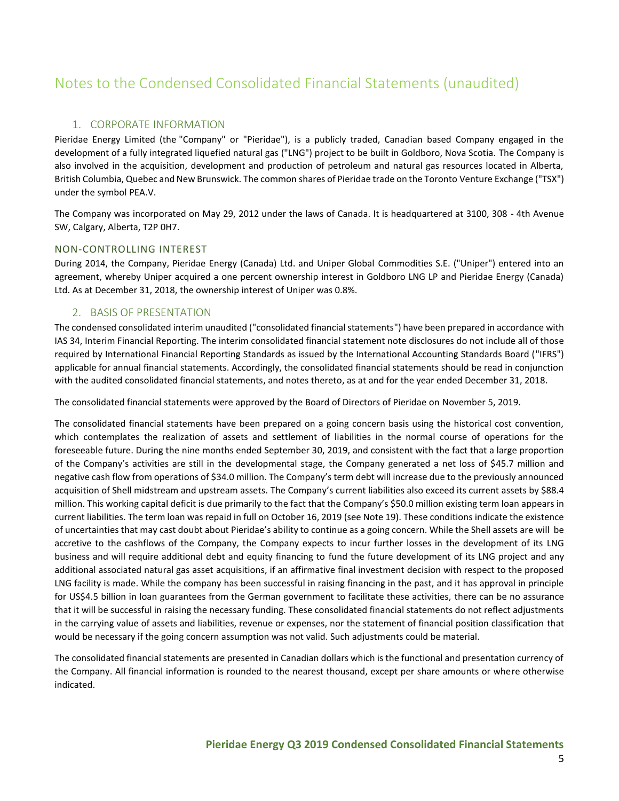# Notes to the Condensed Consolidated Financial Statements (unaudited)

# 1. CORPORATE INFORMATION

Pieridae Energy Limited (the "Company" or "Pieridae"), is a publicly traded, Canadian based Company engaged in the development of a fully integrated liquefied natural gas ("LNG") project to be built in Goldboro, Nova Scotia. The Company is also involved in the acquisition, development and production of petroleum and natural gas resources located in Alberta, British Columbia, Quebec and New Brunswick. The common shares of Pieridae trade on the Toronto Venture Exchange ("TSX") under the symbol PEA.V.

The Company was incorporated on May 29, 2012 under the laws of Canada. It is headquartered at 3100, 308 - 4th Avenue SW, Calgary, Alberta, T2P 0H7.

## NON-CONTROLLING INTEREST

During 2014, the Company, Pieridae Energy (Canada) Ltd. and Uniper Global Commodities S.E. ("Uniper") entered into an agreement, whereby Uniper acquired a one percent ownership interest in Goldboro LNG LP and Pieridae Energy (Canada) Ltd. As at December 31, 2018, the ownership interest of Uniper was 0.8%.

## 2. BASIS OF PRESENTATION

The condensed consolidated interim unaudited ("consolidated financial statements") have been prepared in accordance with IAS 34, Interim Financial Reporting. The interim consolidated financial statement note disclosures do not include all of those required by International Financial Reporting Standards as issued by the International Accounting Standards Board ("IFRS") applicable for annual financial statements. Accordingly, the consolidated financial statements should be read in conjunction with the audited consolidated financial statements, and notes thereto, as at and for the year ended December 31, 2018.

The consolidated financial statements were approved by the Board of Directors of Pieridae on November 5, 2019.

The consolidated financial statements have been prepared on a going concern basis using the historical cost convention, which contemplates the realization of assets and settlement of liabilities in the normal course of operations for the foreseeable future. During the nine months ended September 30, 2019, and consistent with the fact that a large proportion of the Company's activities are still in the developmental stage, the Company generated a net loss of \$45.7 million and negative cash flow from operations of \$34.0 million. The Company's term debt will increase due to the previously announced acquisition of Shell midstream and upstream assets. The Company's current liabilities also exceed its current assets by \$88.4 million. This working capital deficit is due primarily to the fact that the Company's \$50.0 million existing term loan appears in current liabilities. The term loan was repaid in full on October 16, 2019 (see Note 19). These conditions indicate the existence of uncertainties that may cast doubt about Pieridae's ability to continue as a going concern. While the Shell assets are will be accretive to the cashflows of the Company, the Company expects to incur further losses in the development of its LNG business and will require additional debt and equity financing to fund the future development of its LNG project and any additional associated natural gas asset acquisitions, if an affirmative final investment decision with respect to the proposed LNG facility is made. While the company has been successful in raising financing in the past, and it has approval in principle for US\$4.5 billion in loan guarantees from the German government to facilitate these activities, there can be no assurance that it will be successful in raising the necessary funding. These consolidated financial statements do not reflect adjustments in the carrying value of assets and liabilities, revenue or expenses, nor the statement of financial position classification that would be necessary if the going concern assumption was not valid. Such adjustments could be material.

The consolidated financial statements are presented in Canadian dollars which is the functional and presentation currency of the Company. All financial information is rounded to the nearest thousand, except per share amounts or where otherwise indicated.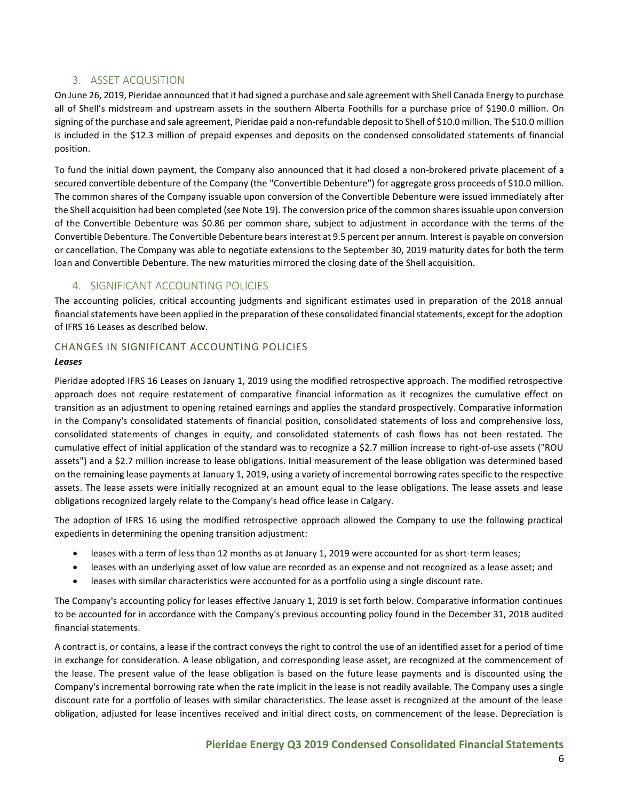# 3. ASSET ACQUSITION

On June 26, 2019, Pieridae announced that it had signed a purchase and sale agreement with Shell Canada Energy to purchase all of Shell's midstream and upstream assets in the southern Alberta Foothills for a purchase price of \$190.0 million. On signing of the purchase and sale agreement, Pieridae paid a non-refundable deposit to Shell of \$10.0 million. The \$10.0 million is included in the \$12.3 million of prepaid expenses and deposits on the condensed consolidated statements of financial position.

To fund the initial down payment, the Company also announced that it had closed a non-brokered private placement of a secured convertible debenture of the Company (the "Convertible Debenture") for aggregate gross proceeds of \$10.0 million. The common shares of the Company issuable upon conversion of the Convertible Debenture were issued immediately after the Shell acquisition had been completed (see Note 19). The conversion price of the common shares issuable upon conversion of the Convertible Debenture was \$0.86 per common share, subject to adjustment in accordance with the terms of the Convertible Debenture. The Convertible Debenture bears interest at 9.5 percent per annum. Interest is payable on conversion or cancellation. The Company was able to negotiate extensions to the September 30, 2019 maturity dates for both the term loan and Convertible Debenture. The new maturities mirrored the closing date of the Shell acquisition.

# 4. SIGNIFICANT ACCOUNTING POLICIES

The accounting policies, critical accounting judgments and significant estimates used in preparation of the 2018 annual financial statements have been applied in the preparation of these consolidated financial statements, except for the adoption of IFRS 16 Leases as described below.

## CHANGES IN SIGNIFICANT ACCOUNTING POLICIES

#### *Leases*

Pieridae adopted IFRS 16 Leases on January 1, 2019 using the modified retrospective approach. The modified retrospective approach does not require restatement of comparative financial information as it recognizes the cumulative effect on transition as an adjustment to opening retained earnings and applies the standard prospectively. Comparative information in the Company's consolidated statements of financial position, consolidated statements of loss and comprehensive loss, consolidated statements of changes in equity, and consolidated statements of cash flows has not been restated. The cumulative effect of initial application of the standard was to recognize a \$2.7 million increase to right-of-use assets ("ROU assets") and a \$2.7 million increase to lease obligations. Initial measurement of the lease obligation was determined based on the remaining lease payments at January 1, 2019, using a variety of incremental borrowing rates specific to the respective assets. The lease assets were initially recognized at an amount equal to the lease obligations. The lease assets and lease obligations recognized largely relate to the Company's head office lease in Calgary.

The adoption of IFRS 16 using the modified retrospective approach allowed the Company to use the following practical expedients in determining the opening transition adjustment:

- leases with a term of less than 12 months as at January 1, 2019 were accounted for as short-term leases;
- leases with an underlying asset of low value are recorded as an expense and not recognized as a lease asset; and
- leases with similar characteristics were accounted for as a portfolio using a single discount rate.

The Company's accounting policy for leases effective January 1, 2019 is set forth below. Comparative information continues to be accounted for in accordance with the Company's previous accounting policy found in the December 31, 2018 audited financial statements.

A contract is, or contains, a lease if the contract conveys the right to control the use of an identified asset for a period of time in exchange for consideration. A lease obligation, and corresponding lease asset, are recognized at the commencement of the lease. The present value of the lease obligation is based on the future lease payments and is discounted using the Company's incremental borrowing rate when the rate implicit in the lease is not readily available. The Company uses a single discount rate for a portfolio of leases with similar characteristics. The lease asset is recognized at the amount of the lease obligation, adjusted for lease incentives received and initial direct costs, on commencement of the lease. Depreciation is

# **Pieridae Energy Q3 2019 Condensed Consolidated Financial Statements**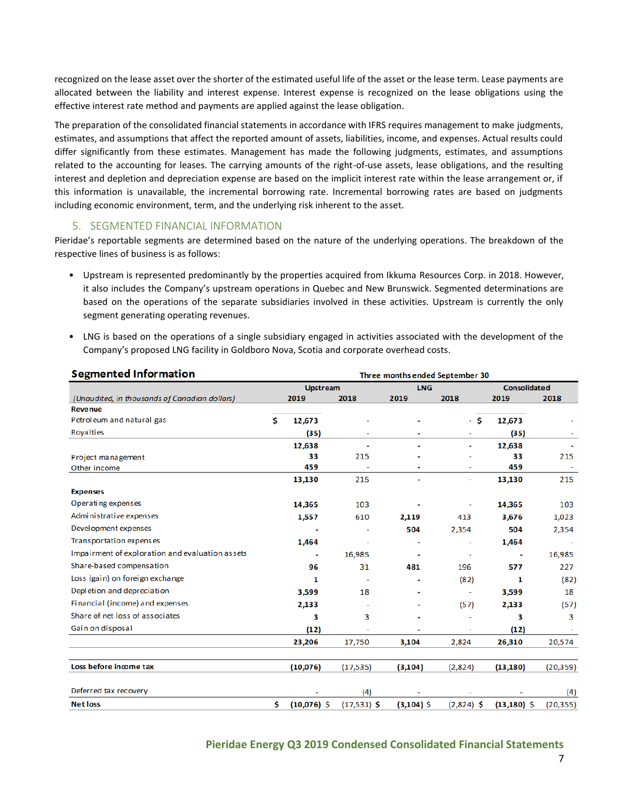recognized on the lease asset over the shorter of the estimated useful life of the asset or the lease term. Lease payments are allocated between the liability and interest expense. Interest expense is recognized on the lease obligations using the effective interest rate method and payments are applied against the lease obligation.

The preparation of the consolidated financial statements in accordance with IFRS requires management to make judgments, estimates, and assumptions that affect the reported amount of assets, liabilities, income, and expenses. Actual results could differ significantly from these estimates. Management has made the following judgments, estimates, and assumptions related to the accounting for leases. The carrying amounts of the right-of-use assets, lease obligations, and the resulting interest and depletion and depreciation expense are based on the implicit interest rate within the lease arrangement or, if this information is unavailable, the incremental borrowing rate. Incremental borrowing rates are based on judgments including economic environment, term, and the underlying risk inherent to the asset.

## 5. SEGMENTED FINANCIAL INFORMATION

Pieridae's reportable segments are determined based on the nature of the underlying operations. The breakdown of the respective lines of business is as follows:

- Upstream is represented predominantly by the properties acquired from Ikkuma Resources Corp. in 2018. However, it also includes the Company's upstream operations in Quebec and New Brunswick. Segmented determinations are based on the operations of the separate subsidiaries involved in these activities. Upstream is currently the only segment generating operating revenues.
- LNG is based on the operations of a single subsidiary engaged in activities associated with the development of the Company's proposed LNG facility in Goldboro Nova, Scotia and corporate overhead costs.

| <b>Segmented Information</b>                    |                     |                          | Three months ended September 30 |              |                     |           |
|-------------------------------------------------|---------------------|--------------------------|---------------------------------|--------------|---------------------|-----------|
|                                                 | <b>Upstream</b>     |                          | <b>LNG</b>                      |              | <b>Consolidated</b> |           |
| (Unaudited, in thousands of Canadian dollars)   | 2019                | 2018                     | 2019                            | 2018         | 2019                | 2018      |
| <b>Revenue</b>                                  |                     |                          |                                 |              |                     |           |
| Petroleum and natural gas                       | \$<br>12,673        |                          |                                 | - \$         | 12,673              |           |
| Royalties                                       | (35)                |                          |                                 |              | (35)                |           |
|                                                 | 12,638              | $\overline{\phantom{0}}$ | ٠                               | ٠            | 12,638              |           |
| Project management                              | 33                  | 215                      |                                 |              | 33                  | 215       |
| Other income                                    | 459                 |                          |                                 | ٠            | 459                 |           |
|                                                 | 13,130              | 215                      |                                 | ÷            | 13,130              | 215       |
| <b>Expenses</b>                                 |                     |                          |                                 |              |                     |           |
| Operating expenses                              | 14,365              | 103                      |                                 |              | 14,365              | 103       |
| Administrative expenses                         | 1,557               | 610                      | 2,119                           | 413          | 3,676               | 1,023     |
| Devel opment expenses                           |                     |                          | 504                             | 2,354        | 504                 | 2,354     |
| Transportation expenses                         | 1,464               |                          |                                 |              | 1,464               |           |
| Impairment of exploration and evaluation assets | $\blacksquare$      | 16,985                   | $\blacksquare$                  | ٠            | $\blacksquare$      | 16,985    |
| Share-based compensation                        | 96                  | 31                       | 481                             | 196          | 577                 | 227       |
| Loss (gain) on foreign exchange                 | 1                   | ٠                        |                                 | (82)         | 1                   | (82)      |
| Depletion and depreciation                      | 3,599               | 18                       |                                 | ۰            | 3,599               | 18        |
| Financial (income) and expenses                 | 2,133               |                          |                                 | (57)         | 2,133               | (57)      |
| Share of net loss of associates                 | 3                   | 3                        |                                 |              | 3                   | 3         |
| Gain on disposal                                | (12)                |                          |                                 |              | (12)                |           |
|                                                 | 23,206              | 17,750                   | 3,104                           | 2,824        | 26,310              | 20,574    |
| Loss before income tax                          | (10,076)            | (17, 535)                | (3, 104)                        | (2,824)      | (13, 180)           | (20, 359) |
| Deferred tax recovery                           |                     | (4)                      |                                 |              |                     | (4)       |
| <b>Net loss</b>                                 | \$<br>$(10,076)$ \$ | $(17,531)$ \$            | $(3,104)$ \$                    | $(2,824)$ \$ | $(13, 180)$ \$      | (20, 355) |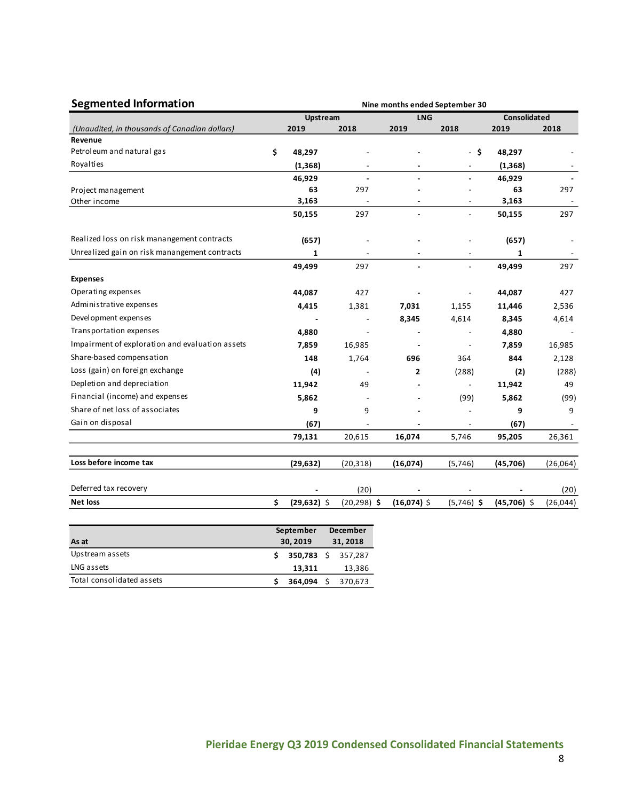| <b>Segmented Information</b>                    | Nine months ended September 30 |                 |                |                          |                          |                     |           |  |  |  |  |
|-------------------------------------------------|--------------------------------|-----------------|----------------|--------------------------|--------------------------|---------------------|-----------|--|--|--|--|
|                                                 |                                | <b>Upstream</b> |                | <b>LNG</b>               |                          | <b>Consolidated</b> |           |  |  |  |  |
| (Unaudited, in thousands of Canadian dollars)   |                                | 2019            | 2018           | 2019                     | 2018                     | 2019                | 2018      |  |  |  |  |
| Revenue                                         |                                |                 |                |                          |                          |                     |           |  |  |  |  |
| Petroleum and natural gas                       | \$                             | 48,297          |                |                          | -\$                      | 48,297              |           |  |  |  |  |
| Royalties                                       |                                | (1, 368)        |                |                          |                          | (1, 368)            |           |  |  |  |  |
|                                                 |                                | 46,929          |                |                          | $\overline{\phantom{0}}$ | 46,929              |           |  |  |  |  |
| Project management                              |                                | 63              | 297            |                          |                          | 63                  | 297       |  |  |  |  |
| Other income                                    |                                | 3,163           |                |                          | $\overline{\phantom{a}}$ | 3,163               |           |  |  |  |  |
|                                                 |                                | 50,155          | 297            |                          | $\overline{a}$           | 50,155              | 297       |  |  |  |  |
| Realized loss on risk manangement contracts     |                                | (657)           |                |                          |                          | (657)               |           |  |  |  |  |
| Unrealized gain on risk manangement contracts   |                                | 1               |                | $\blacksquare$           | $\overline{\phantom{a}}$ | 1                   |           |  |  |  |  |
|                                                 |                                | 49,499          | 297            | $\overline{\phantom{a}}$ | $\overline{a}$           | 49,499              | 297       |  |  |  |  |
| <b>Expenses</b>                                 |                                |                 |                |                          |                          |                     |           |  |  |  |  |
| Operating expenses                              |                                | 44,087          | 427            |                          |                          | 44,087              | 427       |  |  |  |  |
| Administrative expenses                         |                                | 4,415           | 1,381          | 7,031                    | 1,155                    | 11,446              | 2,536     |  |  |  |  |
| Development expenses                            |                                |                 |                | 8,345                    | 4,614                    | 8,345               | 4,614     |  |  |  |  |
| Transportation expenses                         |                                | 4,880           |                |                          |                          | 4,880               |           |  |  |  |  |
| Impairment of exploration and evaluation assets |                                | 7,859           | 16,985         |                          |                          | 7,859               | 16,985    |  |  |  |  |
| Share-based compensation                        |                                | 148             | 1,764          | 696                      | 364                      | 844                 | 2,128     |  |  |  |  |
| Loss (gain) on foreign exchange                 |                                | (4)             |                | 2                        | (288)                    | (2)                 | (288)     |  |  |  |  |
| Depletion and depreciation                      |                                | 11,942          | 49             |                          | $\overline{\phantom{a}}$ | 11,942              | 49        |  |  |  |  |
| Financial (income) and expenses                 |                                | 5,862           |                |                          | (99)                     | 5,862               | (99)      |  |  |  |  |
| Share of net loss of associates                 |                                | 9               | 9              |                          |                          | 9                   | 9         |  |  |  |  |
| Gain on disposal                                |                                | (67)            |                |                          |                          | (67)                |           |  |  |  |  |
|                                                 |                                | 79,131          | 20,615         | 16,074                   | 5,746                    | 95,205              | 26,361    |  |  |  |  |
| Loss before income tax                          |                                | (29, 632)       | (20, 318)      | (16,074)                 | (5,746)                  | (45, 706)           | (26,064)  |  |  |  |  |
| Deferred tax recovery                           |                                |                 | (20)           |                          |                          |                     | (20)      |  |  |  |  |
| <b>Net loss</b>                                 | \$                             | $(29, 632)$ \$  | $(20, 298)$ \$ | $(16,074)$ \$            | $(5,746)$ \$             | $(45,706)$ \$       | (26, 044) |  |  |  |  |

|                           | September          | <b>December</b> |         |  |  |
|---------------------------|--------------------|-----------------|---------|--|--|
| As at                     | 30.2019            |                 | 31,2018 |  |  |
| Upstream assets           | 350.783 \$ 357.287 |                 |         |  |  |
| LNG assets                | 13.311             |                 | 13,386  |  |  |
| Total consolidated assets | 364.094            |                 | 370.673 |  |  |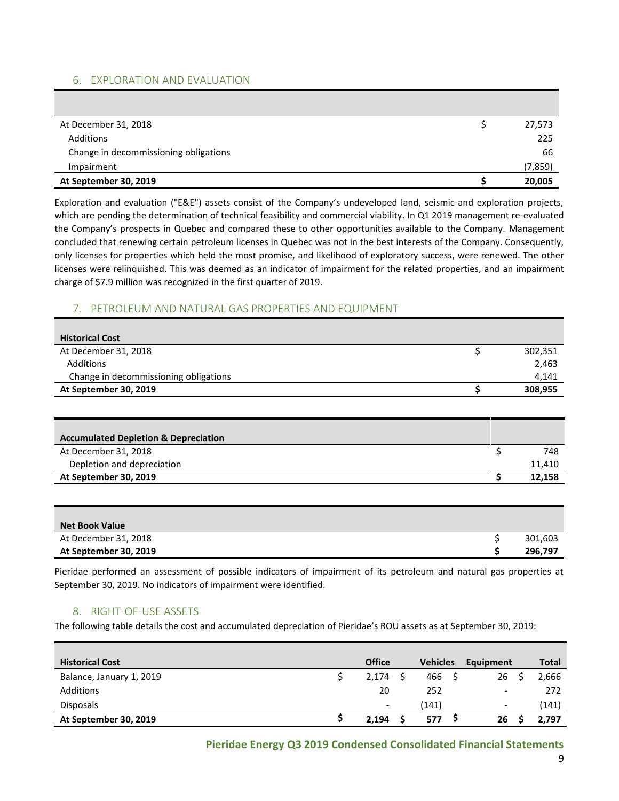# 6. EXPLORATION AND EVALUATION

| At December 31, 2018                  | 27,573  |
|---------------------------------------|---------|
| Additions                             | 225     |
| Change in decommissioning obligations | 66      |
| Impairment                            | (7,859) |
| At September 30, 2019                 | 20,005  |

Exploration and evaluation ("E&E") assets consist of the Company's undeveloped land, seismic and exploration projects, which are pending the determination of technical feasibility and commercial viability. In Q1 2019 management re-evaluated the Company's prospects in Quebec and compared these to other opportunities available to the Company. Management concluded that renewing certain petroleum licenses in Quebec was not in the best interests of the Company. Consequently, only licenses for properties which held the most promise, and likelihood of exploratory success, were renewed. The other licenses were relinquished. This was deemed as an indicator of impairment for the related properties, and an impairment charge of \$7.9 million was recognized in the first quarter of 2019.

# 7. PETROLEUM AND NATURAL GAS PROPERTIES AND EQUIPMENT

| <b>Historical Cost</b>                |         |
|---------------------------------------|---------|
| At December 31, 2018                  | 302,351 |
| Additions                             | 2,463   |
| Change in decommissioning obligations | 4.141   |
| At September 30, 2019                 | 308,955 |
|                                       |         |

| <b>Accumulated Depletion &amp; Depreciation</b> |        |
|-------------------------------------------------|--------|
| At December 31, 2018                            | 748    |
| Depletion and depreciation                      | 11,410 |
| At September 30, 2019                           | 12,158 |

| <b>Net Book Value</b> |         |
|-----------------------|---------|
| At December 31, 2018  | 301,603 |
| At September 30, 2019 | 296,797 |

Pieridae performed an assessment of possible indicators of impairment of its petroleum and natural gas properties at September 30, 2019. No indicators of impairment were identified.

## 8. RIGHT-OF-USE ASSETS

The following table details the cost and accumulated depreciation of Pieridae's ROU assets as at September 30, 2019:

| <b>Historical Cost</b>   | <b>Office</b>            | <b>Vehicles</b> | Equipment | Total |
|--------------------------|--------------------------|-----------------|-----------|-------|
| Balance, January 1, 2019 | 2,174                    | 466             | 26        | 2,666 |
| Additions                | 20                       | 252             | -         | 272   |
| <b>Disposals</b>         | $\overline{\phantom{a}}$ | (141)           | -         | (141) |
| At September 30, 2019    | 2.194                    | 577             | 26        | 2.797 |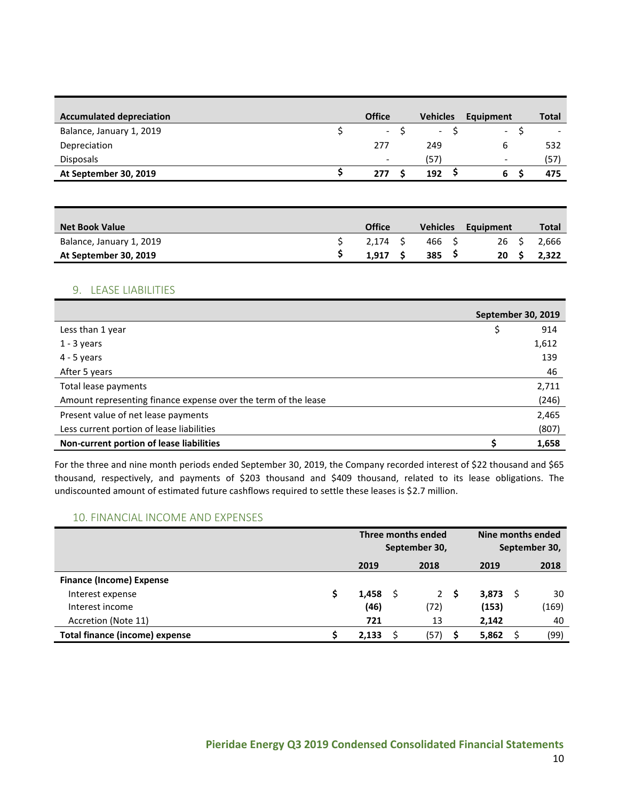| <b>Accumulated depreciation</b> | <b>Office</b>            | <b>Vehicles</b>          | Equipment                | Total |
|---------------------------------|--------------------------|--------------------------|--------------------------|-------|
| Balance, January 1, 2019        | $\sim$                   | $\overline{\phantom{a}}$ | $\overline{\phantom{0}}$ |       |
| Depreciation                    | 277                      | 249                      | 6                        | 532   |
| <b>Disposals</b>                | $\overline{\phantom{a}}$ | (57)                     | -                        | (57)  |
| At September 30, 2019           | 277                      | 192                      | ь                        | 475   |

| <b>Net Book Value</b>    | <b>Office</b> | <b>Vehicles</b> | Equipment       | Total |
|--------------------------|---------------|-----------------|-----------------|-------|
| Balance, January 1, 2019 | 2.174 S       | 466 S           | 26 S            | 2,666 |
| At September 30, 2019    | 1.917         | 385             | 20 <sub>5</sub> | 2.322 |

#### 9. LEASE LIABILITIES

|                                                                | <b>September 30, 2019</b> |
|----------------------------------------------------------------|---------------------------|
| Less than 1 year                                               | \$<br>914                 |
| $1 - 3$ years                                                  | 1,612                     |
| $4 - 5$ years                                                  | 139                       |
| After 5 years                                                  | 46                        |
| Total lease payments                                           | 2,711                     |
| Amount representing finance expense over the term of the lease | (246)                     |
| Present value of net lease payments                            | 2,465                     |
| Less current portion of lease liabilities                      | (807)                     |
| Non-current portion of lease liabilities                       | 1,658                     |

For the three and nine month periods ended September 30, 2019, the Company recorded interest of \$22 thousand and \$65 thousand, respectively, and payments of \$203 thousand and \$409 thousand, related to its lease obligations. The undiscounted amount of estimated future cashflows required to settle these leases is \$2.7 million.

## 10. FINANCIAL INCOME AND EXPENSES

|                                       | Three months ended<br>September 30, |  |             |   |       | Nine months ended<br>September 30, |       |
|---------------------------------------|-------------------------------------|--|-------------|---|-------|------------------------------------|-------|
|                                       | 2019                                |  | 2018        |   | 2019  |                                    | 2018  |
| <b>Finance (Income) Expense</b>       |                                     |  |             |   |       |                                    |       |
| Interest expense                      | 1,458                               |  | $2^{\circ}$ | S | 3,873 |                                    | 30    |
| Interest income                       | (46)                                |  | (72)        |   | (153) |                                    | (169) |
| Accretion (Note 11)                   | 721                                 |  | 13          |   | 2,142 |                                    | 40    |
| <b>Total finance (income) expense</b> | 2,133                               |  | (57)        | S | 5,862 |                                    | (99)  |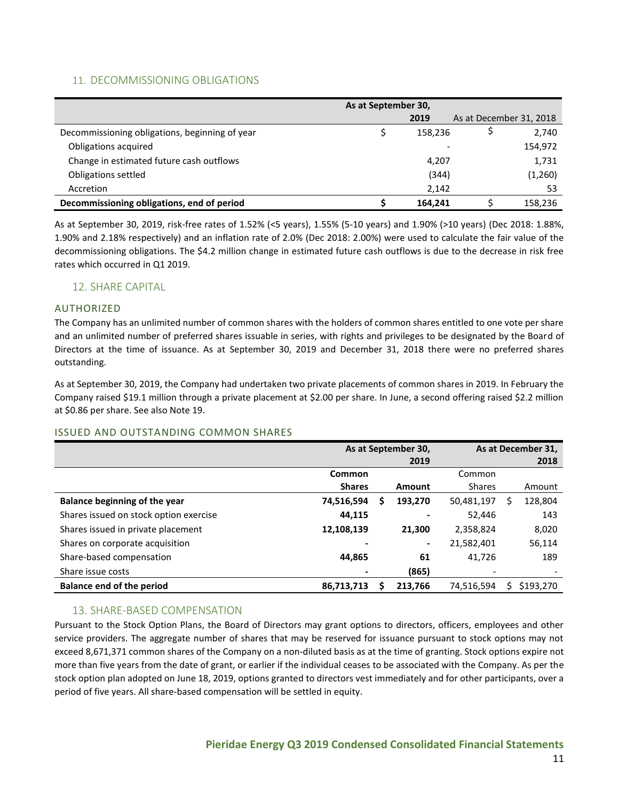# 11. DECOMMISSIONING OBLIGATIONS

|                                                | As at September 30, |         |                         |
|------------------------------------------------|---------------------|---------|-------------------------|
|                                                |                     | 2019    | As at December 31, 2018 |
| Decommissioning obligations, beginning of year |                     | 158,236 | 2,740                   |
| Obligations acquired                           |                     |         | 154,972                 |
| Change in estimated future cash outflows       |                     | 4,207   | 1,731                   |
| Obligations settled                            |                     | (344)   | (1,260)                 |
| Accretion                                      |                     | 2,142   | 53                      |
| Decommissioning obligations, end of period     |                     | 164.241 | 158,236                 |

As at September 30, 2019, risk-free rates of 1.52% (<5 years), 1.55% (5-10 years) and 1.90% (>10 years) (Dec 2018: 1.88%, 1.90% and 2.18% respectively) and an inflation rate of 2.0% (Dec 2018: 2.00%) were used to calculate the fair value of the decommissioning obligations. The \$4.2 million change in estimated future cash outflows is due to the decrease in risk free rates which occurred in Q1 2019.

## 12. SHARE CAPITAL

## AUTHORIZED

The Company has an unlimited number of common shares with the holders of common shares entitled to one vote per share and an unlimited number of preferred shares issuable in series, with rights and privileges to be designated by the Board of Directors at the time of issuance. As at September 30, 2019 and December 31, 2018 there were no preferred shares outstanding.

As at September 30, 2019, the Company had undertaken two private placements of common shares in 2019. In February the Company raised \$19.1 million through a private placement at \$2.00 per share. In June, a second offering raised \$2.2 million at \$0.86 per share. See also Note 19.

#### ISSUED AND OUTSTANDING COMMON SHARES

|                                        |               | As at September 30, | As at December 31,       |   |           |
|----------------------------------------|---------------|---------------------|--------------------------|---|-----------|
|                                        |               | 2019                |                          |   | 2018      |
|                                        | Common        |                     | Common                   |   |           |
|                                        | <b>Shares</b> | Amount              | <b>Shares</b>            |   | Amount    |
| <b>Balance beginning of the year</b>   | 74,516,594    | \$<br>193,270       | 50,481,197               | S | 128,804   |
| Shares issued on stock option exercise | 44,115        |                     | 52.446                   |   | 143       |
| Shares issued in private placement     | 12,108,139    | 21.300              | 2,358,824                |   | 8,020     |
| Shares on corporate acquisition        |               | ۰                   | 21,582,401               |   | 56,114    |
| Share-based compensation               | 44.865        | 61                  | 41.726                   |   | 189       |
| Share issue costs                      |               | (865)               | $\overline{\phantom{a}}$ |   |           |
| <b>Balance end of the period</b>       | 86,713,713    | 213.766             | 74,516,594               |   | \$193,270 |

## 13. SHARE-BASED COMPENSATION

Pursuant to the Stock Option Plans, the Board of Directors may grant options to directors, officers, employees and other service providers. The aggregate number of shares that may be reserved for issuance pursuant to stock options may not exceed 8,671,371 common shares of the Company on a non-diluted basis as at the time of granting. Stock options expire not more than five years from the date of grant, or earlier if the individual ceases to be associated with the Company. As per the stock option plan adopted on June 18, 2019, options granted to directors vest immediately and for other participants, over a period of five years. All share-based compensation will be settled in equity.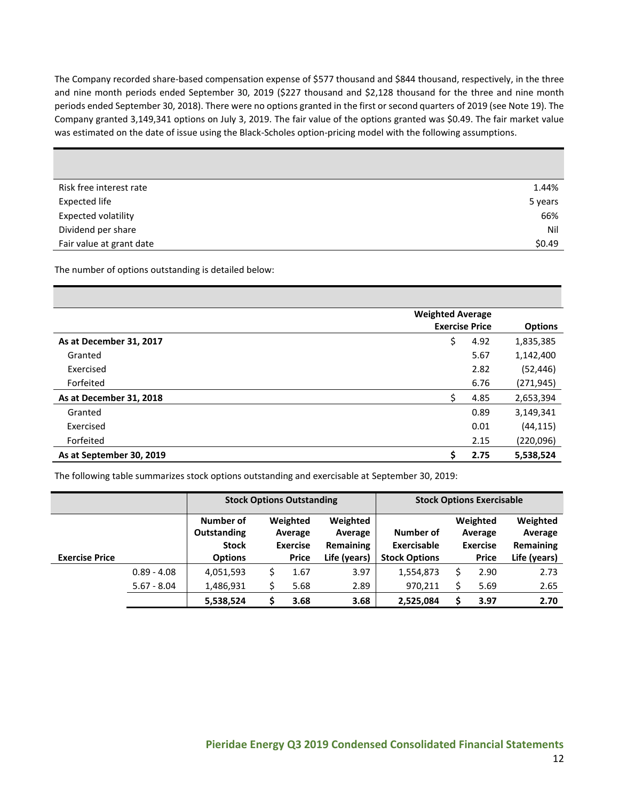The Company recorded share-based compensation expense of \$577 thousand and \$844 thousand, respectively, in the three and nine month periods ended September 30, 2019 (\$227 thousand and \$2,128 thousand for the three and nine month periods ended September 30, 2018). There were no options granted in the first or second quarters of 2019 (see Note 19). The Company granted 3,149,341 options on July 3, 2019. The fair value of the options granted was \$0.49. The fair market value was estimated on the date of issue using the Black-Scholes option-pricing model with the following assumptions.

| Risk free interest rate    | 1.44%   |
|----------------------------|---------|
| <b>Expected life</b>       | 5 years |
| <b>Expected volatility</b> | 66%     |
| Dividend per share         | Nil     |
| Fair value at grant date   | \$0.49  |

The number of options outstanding is detailed below:

|                          | <b>Weighted Average</b> |      |                |
|--------------------------|-------------------------|------|----------------|
|                          | <b>Exercise Price</b>   |      | <b>Options</b> |
| As at December 31, 2017  | \$                      | 4.92 | 1,835,385      |
| Granted                  |                         | 5.67 | 1,142,400      |
| Exercised                |                         | 2.82 | (52, 446)      |
| Forfeited                |                         | 6.76 | (271, 945)     |
| As at December 31, 2018  | \$                      | 4.85 | 2,653,394      |
| Granted                  |                         | 0.89 | 3,149,341      |
| Exercised                |                         | 0.01 | (44, 115)      |
| Forfeited                |                         | 2.15 | (220,096)      |
| As at September 30, 2019 | \$                      | 2.75 | 5,538,524      |

The following table summarizes stock options outstanding and exercisable at September 30, 2019:

|                       |               | <b>Stock Options Outstanding</b>                           |   |                                                        |                                                  | <b>Stock Options Exercisable</b>                        |  |                                                        |                                                         |
|-----------------------|---------------|------------------------------------------------------------|---|--------------------------------------------------------|--------------------------------------------------|---------------------------------------------------------|--|--------------------------------------------------------|---------------------------------------------------------|
| <b>Exercise Price</b> |               | Number of<br>Outstanding<br><b>Stock</b><br><b>Options</b> |   | Weighted<br>Average<br><b>Exercise</b><br><b>Price</b> | Weighted<br>Average<br>Remaining<br>Life (years) | Number of<br><b>Exercisable</b><br><b>Stock Options</b> |  | Weighted<br>Average<br><b>Exercise</b><br><b>Price</b> | Weighted<br>Average<br><b>Remaining</b><br>Life (years) |
|                       | $0.89 - 4.08$ | 4,051,593                                                  | Ś | 1.67                                                   | 3.97                                             | 1,554,873                                               |  | 2.90                                                   | 2.73                                                    |
|                       | $5.67 - 8.04$ | 1,486,931                                                  |   | 5.68                                                   | 2.89                                             | 970,211                                                 |  | 5.69                                                   | 2.65                                                    |
|                       |               | 5,538,524                                                  |   | 3.68                                                   | 3.68                                             | 2,525,084                                               |  | 3.97                                                   | 2.70                                                    |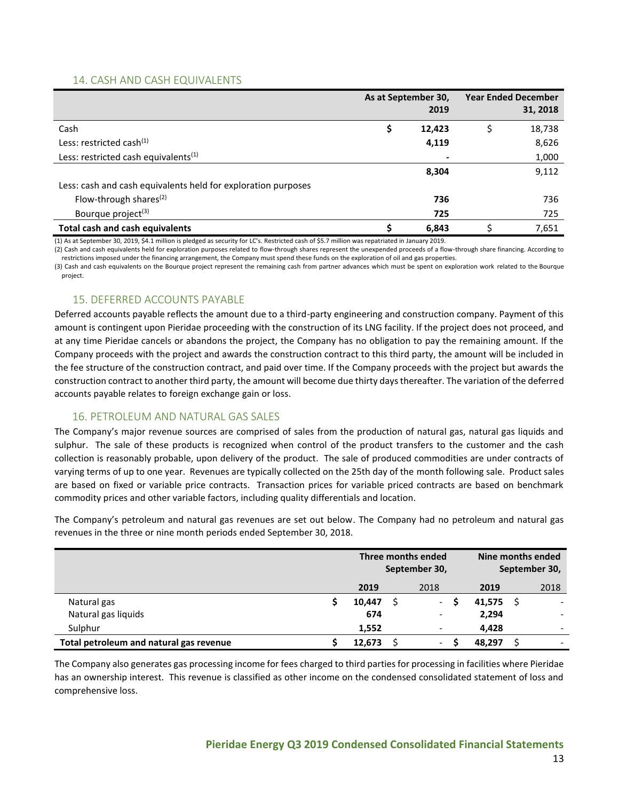# 14. CASH AND CASH EQUIVALENTS

|                                                               | As at September 30,<br>2019 |   | <b>Year Ended December</b><br>31, 2018 |
|---------------------------------------------------------------|-----------------------------|---|----------------------------------------|
| Cash                                                          | 12,423                      | S | 18,738                                 |
| Less: restricted cash <sup>(1)</sup>                          | 4,119                       |   | 8,626                                  |
| Less: restricted cash equivalents <sup>(1)</sup>              |                             |   | 1,000                                  |
|                                                               | 8,304                       |   | 9,112                                  |
| Less: cash and cash equivalents held for exploration purposes |                             |   |                                        |
| Flow-through shares <sup>(2)</sup>                            | 736                         |   | 736                                    |
| Bourque project <sup>(3)</sup>                                | 725                         |   | 725                                    |
| <b>Total cash and cash equivalents</b>                        | 6,843                       |   | 7,651                                  |

(1) As at September 30, 2019, \$4.1 million is pledged as security for LC's. Restricted cash of \$5.7 million was repatriated in January 2019.

(2) Cash and cash equivalents held for exploration purposes related to flow-through shares represent the unexpended proceeds of a flow-through share financing. According to restrictions imposed under the financing arrangement, the Company must spend these funds on the exploration of oil and gas properties.

(3) Cash and cash equivalents on the Bourque project represent the remaining cash from partner advances which must be spent on exploration work related to the Bourque project.

# 15. DEFERRED ACCOUNTS PAYABLE

Deferred accounts payable reflects the amount due to a third-party engineering and construction company. Payment of this amount is contingent upon Pieridae proceeding with the construction of its LNG facility. If the project does not proceed, and at any time Pieridae cancels or abandons the project, the Company has no obligation to pay the remaining amount. If the Company proceeds with the project and awards the construction contract to this third party, the amount will be included in the fee structure of the construction contract, and paid over time. If the Company proceeds with the project but awards the construction contract to another third party, the amount will become due thirty days thereafter. The variation of the deferred accounts payable relates to foreign exchange gain or loss.

## 16. PETROLEUM AND NATURAL GAS SALES

The Company's major revenue sources are comprised of sales from the production of natural gas, natural gas liquids and sulphur. The sale of these products is recognized when control of the product transfers to the customer and the cash collection is reasonably probable, upon delivery of the product. The sale of produced commodities are under contracts of varying terms of up to one year. Revenues are typically collected on the 25th day of the month following sale. Product sales are based on fixed or variable price contracts. Transaction prices for variable priced contracts are based on benchmark commodity prices and other variable factors, including quality differentials and location.

The Company's petroleum and natural gas revenues are set out below. The Company had no petroleum and natural gas revenues in the three or nine month periods ended September 30, 2018.

|                                         |  | Three months ended<br>September 30,<br>2018<br>2019 |  |                          |   |        | Nine months ended<br>September 30, |
|-----------------------------------------|--|-----------------------------------------------------|--|--------------------------|---|--------|------------------------------------|
|                                         |  |                                                     |  |                          |   | 2019   | 2018                               |
| Natural gas                             |  | 10,447                                              |  | $\sim$                   | S | 41,575 | $\overline{\phantom{a}}$           |
| Natural gas liquids                     |  | 674                                                 |  | $\overline{\phantom{a}}$ |   | 2,294  |                                    |
| Sulphur                                 |  | 1,552                                               |  | $\overline{\phantom{a}}$ |   | 4.428  |                                    |
| Total petroleum and natural gas revenue |  | 12,673                                              |  | $\overline{\phantom{a}}$ | S | 48,297 |                                    |

The Company also generates gas processing income for fees charged to third parties for processing in facilities where Pieridae has an ownership interest. This revenue is classified as other income on the condensed consolidated statement of loss and comprehensive loss.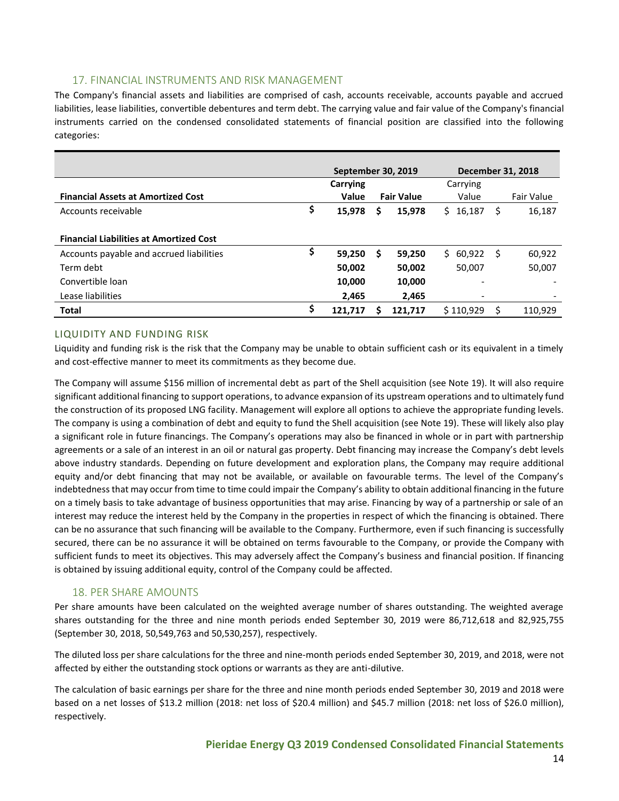# 17. FINANCIAL INSTRUMENTS AND RISK MANAGEMENT

The Company's financial assets and liabilities are comprised of cash, accounts receivable, accounts payable and accrued liabilities, lease liabilities, convertible debentures and term debt. The carrying value and fair value of the Company's financial instruments carried on the condensed consolidated statements of financial position are classified into the following categories:

|                                                |          |   | <b>September 30, 2019</b> |                          | December 31, 2018 |            |
|------------------------------------------------|----------|---|---------------------------|--------------------------|-------------------|------------|
|                                                | Carrying |   |                           | Carrying                 |                   |            |
| <b>Financial Assets at Amortized Cost</b>      | Value    |   | <b>Fair Value</b>         | Value                    |                   | Fair Value |
| \$<br>Accounts receivable                      | 15,978   | S | 15,978                    | \$16,187                 | S                 | 16,187     |
| <b>Financial Liabilities at Amortized Cost</b> |          |   |                           |                          |                   |            |
| \$<br>Accounts payable and accrued liabilities | 59,250   | s | 59,250                    | \$60,922                 | S                 | 60,922     |
| Term debt                                      | 50,002   |   | 50,002                    | 50,007                   |                   | 50,007     |
| Convertible loan                               | 10,000   |   | 10,000                    |                          |                   |            |
| Lease liabilities                              | 2,465    |   | 2,465                     | $\overline{\phantom{a}}$ |                   |            |
| \$<br><b>Total</b>                             | 121.717  |   | 121.717                   | \$110.929                |                   | 110.929    |

# LIQUIDITY AND FUNDING RISK

Liquidity and funding risk is the risk that the Company may be unable to obtain sufficient cash or its equivalent in a timely and cost-effective manner to meet its commitments as they become due.

The Company will assume \$156 million of incremental debt as part of the Shell acquisition (see Note 19). It will also require significant additional financing to support operations, to advance expansion of its upstream operations and to ultimately fund the construction of its proposed LNG facility. Management will explore all options to achieve the appropriate funding levels. The company is using a combination of debt and equity to fund the Shell acquisition (see Note 19). These will likely also play a significant role in future financings. The Company's operations may also be financed in whole or in part with partnership agreements or a sale of an interest in an oil or natural gas property. Debt financing may increase the Company's debt levels above industry standards. Depending on future development and exploration plans, the Company may require additional equity and/or debt financing that may not be available, or available on favourable terms. The level of the Company's indebtedness that may occur from time to time could impair the Company's ability to obtain additional financing in the future on a timely basis to take advantage of business opportunities that may arise. Financing by way of a partnership or sale of an interest may reduce the interest held by the Company in the properties in respect of which the financing is obtained. There can be no assurance that such financing will be available to the Company. Furthermore, even if such financing is successfully secured, there can be no assurance it will be obtained on terms favourable to the Company, or provide the Company with sufficient funds to meet its objectives. This may adversely affect the Company's business and financial position. If financing is obtained by issuing additional equity, control of the Company could be affected.

## 18. PER SHARE AMOUNTS

Per share amounts have been calculated on the weighted average number of shares outstanding. The weighted average shares outstanding for the three and nine month periods ended September 30, 2019 were 86,712,618 and 82,925,755 (September 30, 2018, 50,549,763 and 50,530,257), respectively.

The diluted loss per share calculations for the three and nine-month periods ended September 30, 2019, and 2018, were not affected by either the outstanding stock options or warrants as they are anti-dilutive.

The calculation of basic earnings per share for the three and nine month periods ended September 30, 2019 and 2018 were based on a net losses of \$13.2 million (2018: net loss of \$20.4 million) and \$45.7 million (2018: net loss of \$26.0 million), respectively.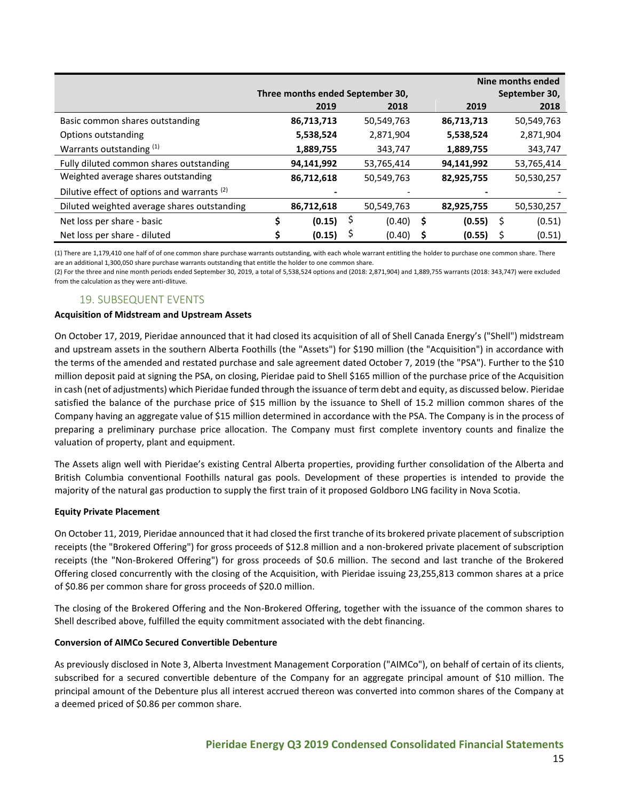|                                                        | Nine months ended                |            |   |            |               |            |   |            |
|--------------------------------------------------------|----------------------------------|------------|---|------------|---------------|------------|---|------------|
|                                                        | Three months ended September 30, |            |   |            | September 30, |            |   |            |
|                                                        |                                  | 2019       |   | 2018       |               | 2019       |   | 2018       |
| Basic common shares outstanding                        |                                  | 86,713,713 |   | 50,549,763 |               | 86,713,713 |   | 50,549,763 |
| Options outstanding                                    |                                  | 5,538,524  |   | 2,871,904  |               | 5,538,524  |   | 2,871,904  |
| Warrants outstanding (1)                               |                                  | 1,889,755  |   | 343,747    |               | 1,889,755  |   | 343,747    |
| Fully diluted common shares outstanding                |                                  | 94,141,992 |   | 53,765,414 |               | 94,141,992 |   | 53,765,414 |
| Weighted average shares outstanding                    |                                  | 86,712,618 |   | 50,549,763 |               | 82,925,755 |   | 50,530,257 |
| Dilutive effect of options and warrants <sup>(2)</sup> |                                  |            |   |            |               |            |   |            |
| Diluted weighted average shares outstanding            |                                  | 86,712,618 |   | 50,549,763 |               | 82,925,755 |   | 50,530,257 |
| Net loss per share - basic                             | \$                               | (0.15)     | Ş | (0.40)     | \$            | (0.55)     | S | (0.51)     |
| Net loss per share - diluted                           |                                  | (0.15)     |   | (0.40)     |               | (0.55)     |   | (0.51)     |

(1) There are 1,179,410 one half of of one common share purchase warrants outstanding, with each whole warrant entitling the holder to purchase one common share. There are an additional 1,300,050 share purchase warrants outstanding that entitle the holder to one common share.

(2) For the three and nine month periods ended September 30, 2019, a total of 5,538,524 options and (2018: 2,871,904) and 1,889,755 warrants (2018: 343,747) were excluded from the calculation as they were anti-dlituve.

## 19. SUBSEQUENT EVENTS

#### **Acquisition of Midstream and Upstream Assets**

On October 17, 2019, Pieridae announced that it had closed its acquisition of all of Shell Canada Energy's ("Shell") midstream and upstream assets in the southern Alberta Foothills (the "Assets") for \$190 million (the "Acquisition") in accordance with the terms of the amended and restated purchase and sale agreement dated October 7, 2019 (the "PSA"). Further to the \$10 million deposit paid at signing the PSA, on closing, Pieridae paid to Shell \$165 million of the purchase price of the Acquisition in cash (net of adjustments) which Pieridae funded through the issuance of term debt and equity, as discussed below. Pieridae satisfied the balance of the purchase price of \$15 million by the issuance to Shell of 15.2 million common shares of the Company having an aggregate value of \$15 million determined in accordance with the PSA. The Company is in the process of preparing a preliminary purchase price allocation. The Company must first complete inventory counts and finalize the valuation of property, plant and equipment.

The Assets align well with Pieridae's existing Central Alberta properties, providing further consolidation of the Alberta and British Columbia conventional Foothills natural gas pools. Development of these properties is intended to provide the majority of the natural gas production to supply the first train of it proposed Goldboro LNG facility in Nova Scotia.

#### **Equity Private Placement**

On October 11, 2019, Pieridae announced that it had closed the first tranche of its brokered private placement of subscription receipts (the "Brokered Offering") for gross proceeds of \$12.8 million and a non-brokered private placement of subscription receipts (the "Non-Brokered Offering") for gross proceeds of \$0.6 million. The second and last tranche of the Brokered Offering closed concurrently with the closing of the Acquisition, with Pieridae issuing 23,255,813 common shares at a price of \$0.86 per common share for gross proceeds of \$20.0 million.

The closing of the Brokered Offering and the Non-Brokered Offering, together with the issuance of the common shares to Shell described above, fulfilled the equity commitment associated with the debt financing.

#### **Conversion of AIMCo Secured Convertible Debenture**

As previously disclosed in Note 3, Alberta Investment Management Corporation ("AIMCo"), on behalf of certain of its clients, subscribed for a secured convertible debenture of the Company for an aggregate principal amount of \$10 million. The principal amount of the Debenture plus all interest accrued thereon was converted into common shares of the Company at a deemed priced of \$0.86 per common share.